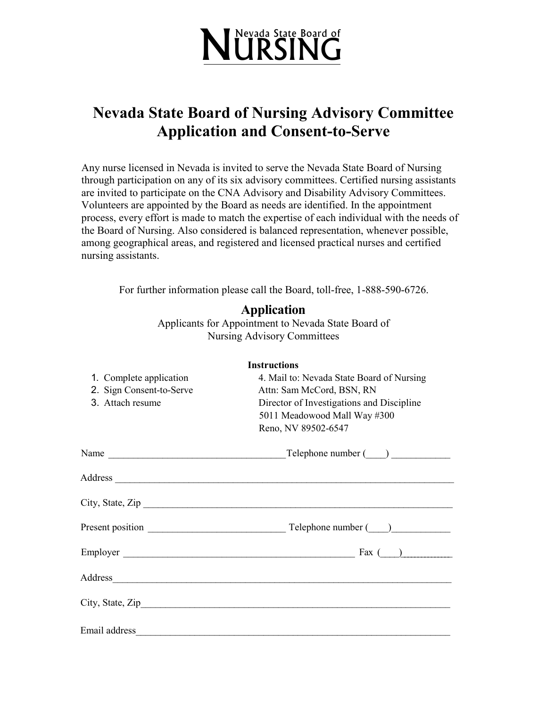

# **Nevada State Board of Nursing Advisory Committee Application and Consent-to-Serve**

Any nurse licensed in Nevada is invited to serve the Nevada State Board of Nursing through participation on any of its six advisory committees. Certified nursing assistants are invited to participate on the CNA Advisory and Disability Advisory Committees. Volunteers are appointed by the Board as needs are identified. In the appointment process, every effort is made to match the expertise of each individual with the needs of the Board of Nursing. Also considered is balanced representation, whenever possible, among geographical areas, and registered and licensed practical nurses and certified nursing assistants.

For further information please call the Board, toll-free, 1-888-590-6726.

### **Application**

Applicants for Appointment to Nevada State Board of Nursing Advisory Committees

| <b>Instructions</b>      |                                           |  |  |
|--------------------------|-------------------------------------------|--|--|
| 1. Complete application  | 4. Mail to: Nevada State Board of Nursing |  |  |
| 2. Sign Consent-to-Serve | Attn: Sam McCord, BSN, RN                 |  |  |
| 3. Attach resume         | Director of Investigations and Discipline |  |  |
|                          | 5011 Meadowood Mall Way #300              |  |  |
|                          | Reno, NV 89502-6547                       |  |  |
|                          |                                           |  |  |
|                          |                                           |  |  |
|                          | City, State, Zip $\overline{\phantom{a}}$ |  |  |
|                          |                                           |  |  |
|                          |                                           |  |  |
|                          |                                           |  |  |
|                          |                                           |  |  |
|                          |                                           |  |  |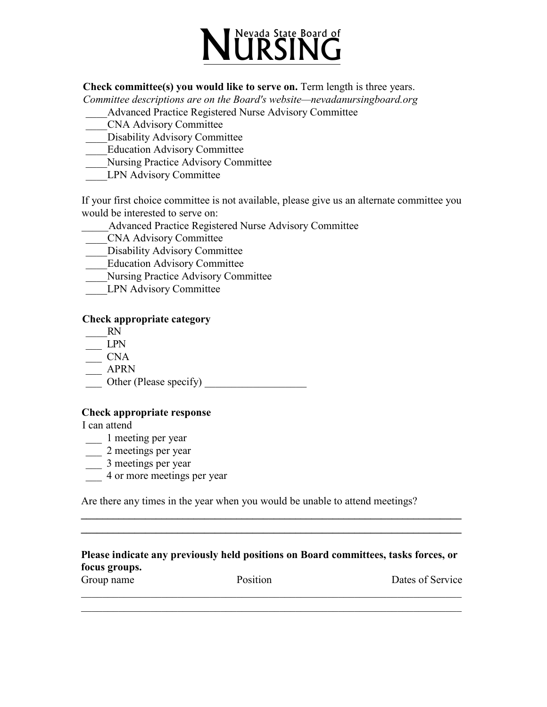

**Check committee(s) you would like to serve on.** Term length is three years.

*Committee descriptions are on the Board's website—nevadanursingboard.org* 

\_\_\_\_Advanced Practice Registered Nurse Advisory Committee

- \_\_\_\_CNA Advisory Committee
- Disability Advisory Committee
- \_\_\_\_Education Advisory Committee
- \_\_\_\_Nursing Practice Advisory Committee
- LPN Advisory Committee

If your first choice committee is not available, please give us an alternate committee you would be interested to serve on:

- \_\_\_\_\_Advanced Practice Registered Nurse Advisory Committee
- \_\_\_\_CNA Advisory Committee
- Disability Advisory Committee
- \_\_\_\_Education Advisory Committee
- \_\_\_\_Nursing Practice Advisory Committee
- LPN Advisory Committee

#### **Check appropriate category**

- \_\_\_\_RN
- $\overline{\phantom{a}}$  LPN
- $\overline{\phantom{a}}$  CNA
- $\overline{\phantom{1}}$  APRN
- \_\_\_ Other (Please specify) \_\_\_\_\_\_\_\_\_\_\_\_\_\_\_\_\_\_\_

#### **Check appropriate response**

I can attend

- \_\_\_ 1 meeting per year
- $\frac{1}{2}$  meetings per year
- \_\_\_ 3 meetings per year
- \_\_\_ 4 or more meetings per year

Are there any times in the year when you would be unable to attend meetings?

| Please indicate any previously held positions on Board committees, tasks forces, or |  |
|-------------------------------------------------------------------------------------|--|
| focus groups.                                                                       |  |

**\_\_\_\_\_\_\_\_\_\_\_\_\_\_\_\_\_\_\_\_\_\_\_\_\_\_\_\_\_\_\_\_\_\_\_\_\_\_\_\_\_\_\_\_\_\_\_\_\_\_\_\_\_\_\_\_\_\_\_\_\_\_\_\_\_\_\_\_\_\_\_ \_\_\_\_\_\_\_\_\_\_\_\_\_\_\_\_\_\_\_\_\_\_\_\_\_\_\_\_\_\_\_\_\_\_\_\_\_\_\_\_\_\_\_\_\_\_\_\_\_\_\_\_\_\_\_\_\_\_\_\_\_\_\_\_\_\_\_\_\_\_\_**

| Group name | Position | Dates of Service |
|------------|----------|------------------|
|            |          |                  |

\_\_\_\_\_\_\_\_\_\_\_\_\_\_\_\_\_\_\_\_\_\_\_\_\_\_\_\_\_\_\_\_\_\_\_\_\_\_\_\_\_\_\_\_\_\_\_\_\_\_\_\_\_\_\_\_\_\_\_\_\_\_\_\_\_\_\_\_\_\_\_